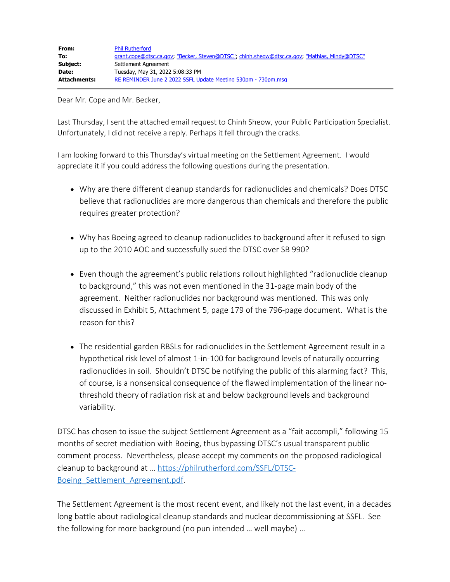Dear Mr. Cope and Mr. Becker,

Last Thursday, I sent the attached email request to Chinh Sheow, your Public Participation Specialist. Unfortunately, I did not receive a reply. Perhaps it fell through the cracks.

I am looking forward to this Thursday's virtual meeting on the Settlement Agreement. I would appreciate it if you could address the following questions during the presentation.

- Why are there different cleanup standards for radionuclides and chemicals? Does DTSC believe that radionuclides are more dangerous than chemicals and therefore the public requires greater protection?
- Why has Boeing agreed to cleanup radionuclides to background after it refused to sign up to the 2010 AOC and successfully sued the DTSC over SB 990?
- Even though the agreement's public relations rollout highlighted "radionuclide cleanup to background," this was not even mentioned in the 31-page main body of the agreement. Neither radionuclides nor background was mentioned. This was only discussed in Exhibit 5, Attachment 5, page 179 of the 796-page document. What is the reason for this?
- The residential garden RBSLs for radionuclides in the Settlement Agreement result in a hypothetical risk level of almost 1-in-100 for background levels of naturally occurring radionuclides in soil. Shouldn't DTSC be notifying the public of this alarming fact? This, of course, is a nonsensical consequence of the flawed implementation of the linear nothreshold theory of radiation risk at and below background levels and background variability.

DTSC has chosen to issue the subject Settlement Agreement as a "fait accompli," following 15 months of secret mediation with Boeing, thus bypassing DTSC's usual transparent public comment process. Nevertheless, please accept my comments on the proposed radiological cleanup to background at … [https://philrutherford.com/SSFL/DTSC-](https://philrutherford.com/SSFL/DTSC-Boeing_Settlement_Agreement.pdf)Boeing Settlement Agreement.pdf.

The Settlement Agreement is the most recent event, and likely not the last event, in a decades long battle about radiological cleanup standards and nuclear decommissioning at SSFL. See the following for more background (no pun intended … well maybe) …